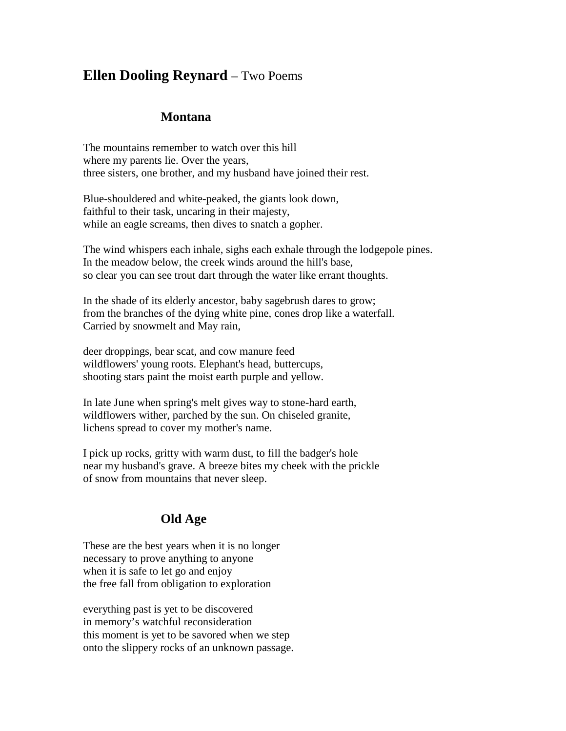## **Ellen Dooling Reynard** – Two Poems

## **Montana**

The mountains remember to watch over this hill where my parents lie. Over the years, three sisters, one brother, and my husband have joined their rest.

Blue-shouldered and white-peaked, the giants look down, faithful to their task, uncaring in their majesty, while an eagle screams, then dives to snatch a gopher.

The wind whispers each inhale, sighs each exhale through the lodgepole pines. In the meadow below, the creek winds around the hill's base, so clear you can see trout dart through the water like errant thoughts.

In the shade of its elderly ancestor, baby sagebrush dares to grow; from the branches of the dying white pine, cones drop like a waterfall. Carried by snowmelt and May rain,

deer droppings, bear scat, and cow manure feed wildflowers' young roots. Elephant's head, buttercups, shooting stars paint the moist earth purple and yellow.

In late June when spring's melt gives way to stone-hard earth, wildflowers wither, parched by the sun. On chiseled granite, lichens spread to cover my mother's name.

I pick up rocks, gritty with warm dust, to fill the badger's hole near my husband's grave. A breeze bites my cheek with the prickle of snow from mountains that never sleep.

## **Old Age**

These are the best years when it is no longer necessary to prove anything to anyone when it is safe to let go and enjoy the free fall from obligation to exploration

everything past is yet to be discovered in memory's watchful reconsideration this moment is yet to be savored when we step onto the slippery rocks of an unknown passage.